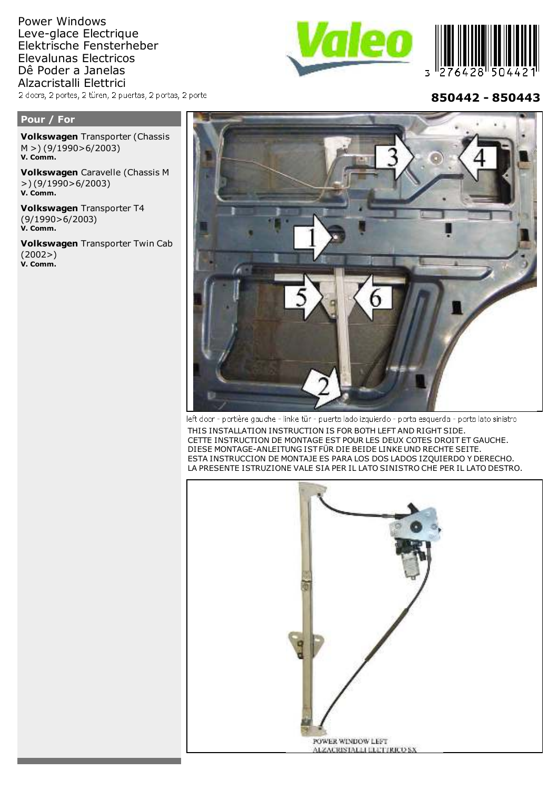Power Windows Leve-glace Electrique Elektrische Fensterheber Elevalunas Electricos Dê Poder a Janelas Alzacristalli Elettrici 2 doors, 2 portes, 2 türen, 2 puertas, 2 portas, 2 porte





**850442 - 850443**

## **Pour / For**

**Volkswagen**

**Volkswagen** Transporter (Chassis M >) (9/1990>6/2003) **V. Comm.**

**Volkswagen** Caravelle (Chassis M >) (9/1990>6/2003) **V. Comm.**

**Volkswagen** Transporter T4 (9/1990>6/2003) **V. Comm.**

**Volkswagen** Transporter Twin Cab (2002>) **V. Comm.**



left door - portière gauche - linke tür - puerta lado izquierdo - porta esquerda - porta lato sinistro

THIS INSTALLATION INSTRUCTION IS FOR BOTH LEFT AND RIGHT SIDE. CETTE INSTRUCTION DE MONTAGE EST POUR LES DEUX COTES DROIT ET GAUCHE. DIESE MONTAGE-ANLEITUNG IST FÜR DIE BEIDE LINKE UND RECHTE SEITE. ESTA INSTRUCCION DE MONTAJE ES PARA LOS DOS LADOS IZQUIERDO Y DERECHO. LA PRESENTE ISTRUZIONE VALE SIA PER IL LATO SINISTRO CHE PER IL LATO DESTRO.

![](_page_0_Picture_12.jpeg)